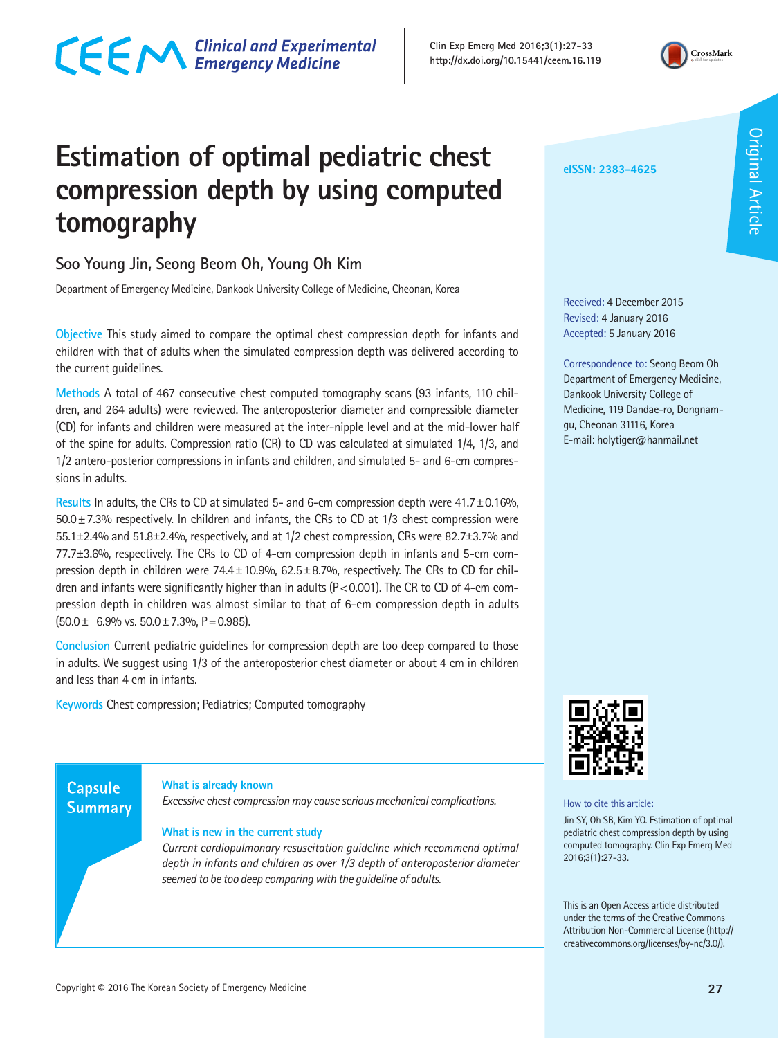**Clin Exp Emerg Med 2016;3(1):27-33 http://dx.doi.org/10.15441/ceem.16.119**



# **Estimation of optimal pediatric chest compression depth by using computed tomography**

# **Soo Young Jin, Seong Beom Oh, Young Oh Kim**

Department of Emergency Medicine, Dankook University College of Medicine, Cheonan, Korea

**Objective** This study aimed to compare the optimal chest compression depth for infants and children with that of adults when the simulated compression depth was delivered according to the current guidelines.

**Methods** A total of 467 consecutive chest computed tomography scans (93 infants, 110 children, and 264 adults) were reviewed. The anteroposterior diameter and compressible diameter (CD) for infants and children were measured at the inter-nipple level and at the mid-lower half of the spine for adults. Compression ratio (CR) to CD was calculated at simulated 1/4, 1/3, and 1/2 antero-posterior compressions in infants and children, and simulated 5- and 6-cm compressions in adults.

**Results** In adults, the CRs to CD at simulated 5- and 6-cm compression depth were 41.7±0.16%,  $50.0 \pm 7.3$ % respectively. In children and infants, the CRs to CD at 1/3 chest compression were 55.1±2.4% and 51.8±2.4%, respectively, and at 1/2 chest compression, CRs were 82.7±3.7% and 77.7±3.6%, respectively. The CRs to CD of 4-cm compression depth in infants and 5-cm compression depth in children were  $74.4 \pm 10.9\%$ ,  $62.5 \pm 8.7\%$ , respectively. The CRs to CD for children and infants were significantly higher than in adults ( $P < 0.001$ ). The CR to CD of 4-cm compression depth in children was almost similar to that of 6-cm compression depth in adults  $(50.0 \pm 6.9\% \text{ vs. } 50.0 \pm 7.3\% \text{ P} = 0.985).$ 

**Conclusion** Current pediatric guidelines for compression depth are too deep compared to those in adults. We suggest using 1/3 of the anteroposterior chest diameter or about 4 cm in children and less than 4 cm in infants.

**Keywords** Chest compression; Pediatrics; Computed tomography

# **Capsule Summary**

#### **What is already known**

*Excessive chest compression may cause serious mechanical complications.*

#### **What is new in the current study**

*Current cardiopulmonary resuscitation guideline which recommend optimal depth in infants and children as over 1/3 depth of anteroposterior diameter seemed to be too deep comparing with the guideline of adults.*

#### **eISSN: 2383-4625**

Received: 4 December 2015 Revised: 4 January 2016 Accepted: 5 January 2016

Correspondence to: Seong Beom Oh Department of Emergency Medicine, Dankook University College of Medicine, 119 Dandae-ro, Dongnamgu, Cheonan 31116, Korea E-mail: holytiger@hanmail.net



How to cite this article:

Jin SY, Oh SB, Kim YO. Estimation of optimal pediatric chest compression depth by using computed tomography. Clin Exp Emerg Med 2016;3(1):27-33.

This is an Open Access article distributed under the terms of the Creative Commons Attribution Non-Commercial License (http:// creativecommons.org/licenses/by-nc/3.0/).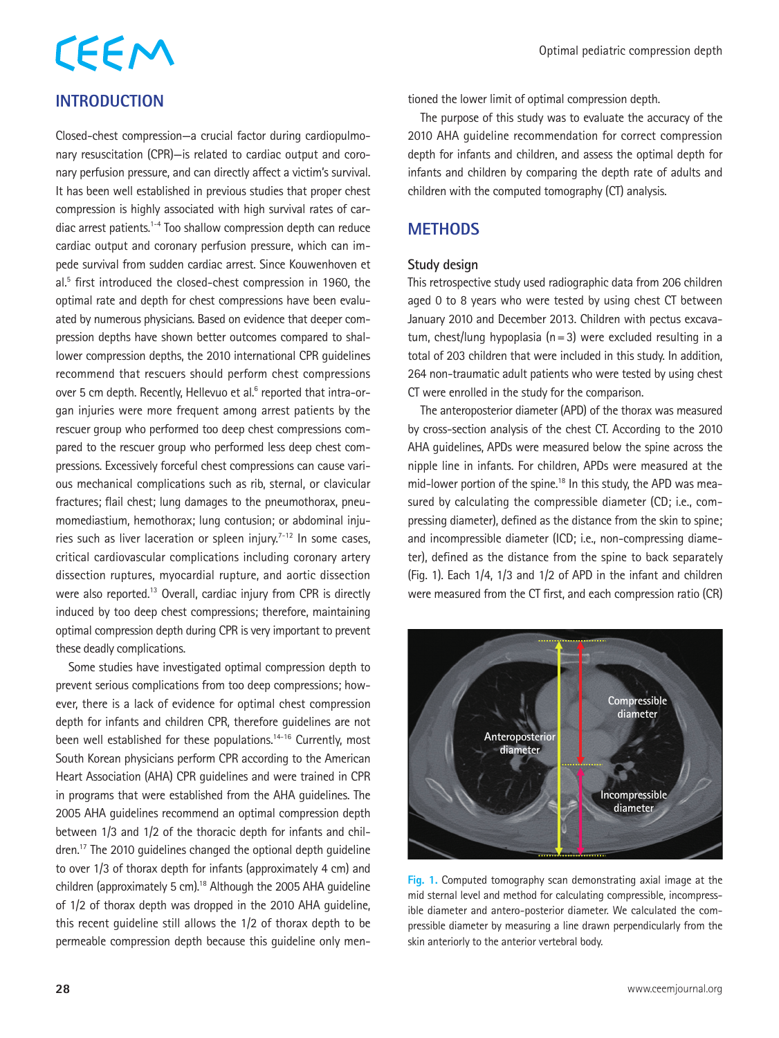# **CEEM INTRODUCTION**

Closed-chest compression—a crucial factor during cardiopulmonary resuscitation (CPR)—is related to cardiac output and coronary perfusion pressure, and can directly affect a victim's survival. It has been well established in previous studies that proper chest compression is highly associated with high survival rates of cardiac arrest patients.1-4 Too shallow compression depth can reduce cardiac output and coronary perfusion pressure, which can impede survival from sudden cardiac arrest. Since Kouwenhoven et al.5 first introduced the closed-chest compression in 1960, the optimal rate and depth for chest compressions have been evaluated by numerous physicians. Based on evidence that deeper compression depths have shown better outcomes compared to shallower compression depths, the 2010 international CPR guidelines recommend that rescuers should perform chest compressions over 5 cm depth. Recently, Hellevuo et al.<sup>6</sup> reported that intra-organ injuries were more frequent among arrest patients by the rescuer group who performed too deep chest compressions compared to the rescuer group who performed less deep chest compressions. Excessively forceful chest compressions can cause various mechanical complications such as rib, sternal, or clavicular fractures; flail chest; lung damages to the pneumothorax, pneumomediastium, hemothorax; lung contusion; or abdominal injuries such as liver laceration or spleen injury.<sup> $7-12$ </sup> In some cases, critical cardiovascular complications including coronary artery dissection ruptures, myocardial rupture, and aortic dissection were also reported.<sup>13</sup> Overall, cardiac injury from CPR is directly induced by too deep chest compressions; therefore, maintaining optimal compression depth during CPR is very important to prevent these deadly complications.

Some studies have investigated optimal compression depth to prevent serious complications from too deep compressions; however, there is a lack of evidence for optimal chest compression depth for infants and children CPR, therefore guidelines are not been well established for these populations.<sup>14-16</sup> Currently, most South Korean physicians perform CPR according to the American Heart Association (AHA) CPR guidelines and were trained in CPR in programs that were established from the AHA guidelines. The 2005 AHA guidelines recommend an optimal compression depth between 1/3 and 1/2 of the thoracic depth for infants and children.17 The 2010 guidelines changed the optional depth guideline to over 1/3 of thorax depth for infants (approximately 4 cm) and children (approximately 5 cm).<sup>18</sup> Although the 2005 AHA guideline of 1/2 of thorax depth was dropped in the 2010 AHA guideline, this recent guideline still allows the 1/2 of thorax depth to be permeable compression depth because this guideline only mentioned the lower limit of optimal compression depth.

The purpose of this study was to evaluate the accuracy of the 2010 AHA guideline recommendation for correct compression depth for infants and children, and assess the optimal depth for infants and children by comparing the depth rate of adults and children with the computed tomography (CT) analysis.

## **METHODS**

#### **Study design**

This retrospective study used radiographic data from 206 children aged 0 to 8 years who were tested by using chest CT between January 2010 and December 2013. Children with pectus excavatum, chest/lung hypoplasia ( $n=3$ ) were excluded resulting in a total of 203 children that were included in this study. In addition, 264 non-traumatic adult patients who were tested by using chest CT were enrolled in the study for the comparison.

The anteroposterior diameter (APD) of the thorax was measured by cross-section analysis of the chest CT. According to the 2010 AHA guidelines, APDs were measured below the spine across the nipple line in infants. For children, APDs were measured at the mid-lower portion of the spine.<sup>18</sup> In this study, the APD was measured by calculating the compressible diameter (CD; i.e., compressing diameter), defined as the distance from the skin to spine; and incompressible diameter (ICD; i.e., non-compressing diameter), defined as the distance from the spine to back separately (Fig. 1). Each 1/4, 1/3 and 1/2 of APD in the infant and children were measured from the CT first, and each compression ratio (CR)



**Fig. 1.** Computed tomography scan demonstrating axial image at the mid sternal level and method for calculating compressible, incompressible diameter and antero-posterior diameter. We calculated the compressible diameter by measuring a line drawn perpendicularly from the skin anteriorly to the anterior vertebral body.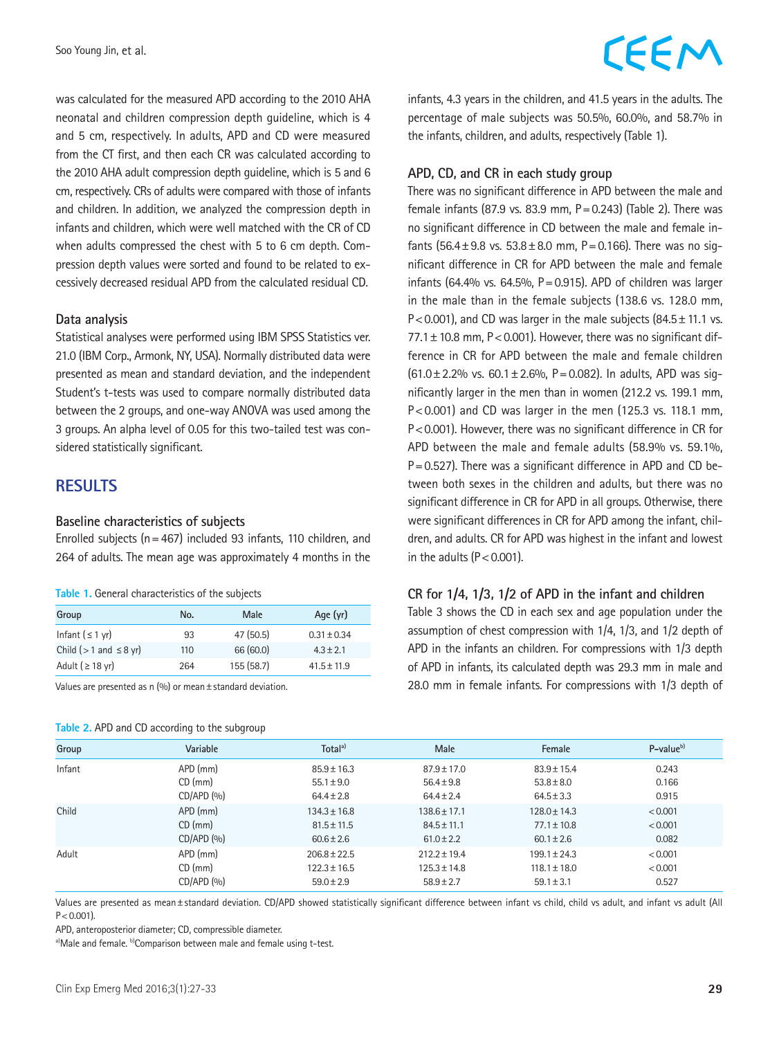was calculated for the measured APD according to the 2010 AHA neonatal and children compression depth guideline, which is 4 and 5 cm, respectively. In adults, APD and CD were measured from the CT first, and then each CR was calculated according to the 2010 AHA adult compression depth guideline, which is 5 and 6 cm, respectively. CRs of adults were compared with those of infants and children. In addition, we analyzed the compression depth in infants and children, which were well matched with the CR of CD when adults compressed the chest with 5 to 6 cm depth. Compression depth values were sorted and found to be related to excessively decreased residual APD from the calculated residual CD.

#### **Data analysis**

Statistical analyses were performed using IBM SPSS Statistics ver. 21.0 (IBM Corp., Armonk, NY, USA). Normally distributed data were presented as mean and standard deviation, and the independent Student's t-tests was used to compare normally distributed data between the 2 groups, and one-way ANOVA was used among the 3 groups. An alpha level of 0.05 for this two-tailed test was considered statistically significant.

## **RESULTS**

#### **Baseline characteristics of subjects**

Enrolled subjects ( $n=467$ ) included 93 infants, 110 children, and 264 of adults. The mean age was approximately 4 months in the

|  | Table 1. General characteristics of the subjects |  |
|--|--------------------------------------------------|--|
|  |                                                  |  |

| Group                         | No. | Male      | Age (yr)        |
|-------------------------------|-----|-----------|-----------------|
| Infant $( \leq 1 \text{ yr})$ | 93  | 47(50.5)  | $0.31 + 0.34$   |
| Child ( $>1$ and $\leq 8$ yr) | 110 | 66 (60.0) | $4.3 + 2.1$     |
| Adult ( $\geq$ 18 yr)         | 264 | 155(58.7) | $41.5 \pm 11.9$ |

Values are presented as n  $(%)$  or mean  $\pm$  standard deviation.

#### **Table 2. APD and CD according to the subgroup**

# CEEM

infants, 4.3 years in the children, and 41.5 years in the adults. The percentage of male subjects was 50.5%, 60.0%, and 58.7% in the infants, children, and adults, respectively (Table 1).

#### **APD, CD, and CR in each study group**

There was no significant difference in APD between the male and female infants (87.9 vs. 83.9 mm,  $P = 0.243$ ) (Table 2). There was no significant difference in CD between the male and female infants (56.4 $\pm$ 9.8 vs. 53.8 $\pm$ 8.0 mm, P = 0.166). There was no significant difference in CR for APD between the male and female infants (64.4% vs. 64.5%,  $P = 0.915$ ). APD of children was larger in the male than in the female subjects (138.6 vs. 128.0 mm, P<0.001), and CD was larger in the male subjects  $(84.5 \pm 11.1 \text{ vs.})$  $77.1 \pm 10.8$  mm, P < 0.001). However, there was no significant difference in CR for APD between the male and female children (61.0 $\pm$ 2.2% vs. 60.1 $\pm$ 2.6%, P=0.082). In adults, APD was significantly larger in the men than in women (212.2 vs. 199.1 mm, P<0.001) and CD was larger in the men (125.3 vs. 118.1 mm, P<0.001). However, there was no significant difference in CR for APD between the male and female adults (58.9% vs. 59.1%, P=0.527). There was a significant difference in APD and CD between both sexes in the children and adults, but there was no significant difference in CR for APD in all groups. Otherwise, there were significant differences in CR for APD among the infant, children, and adults. CR for APD was highest in the infant and lowest in the adults  $(P < 0.001)$ .

#### **CR for 1/4, 1/3, 1/2 of APD in the infant and children**

Table 3 shows the CD in each sex and age population under the assumption of chest compression with 1/4, 1/3, and 1/2 depth of APD in the infants an children. For compressions with 1/3 depth of APD in infants, its calculated depth was 29.3 mm in male and 28.0 mm in female infants. For compressions with 1/3 depth of

| Group  | Variable                 | Total <sup>a)</sup> | Male             | Female           | $P$ -value $b$ ) |
|--------|--------------------------|---------------------|------------------|------------------|------------------|
| Infant | APD (mm)                 | $85.9 \pm 16.3$     | $87.9 \pm 17.0$  | $83.9 \pm 15.4$  | 0.243            |
|        | $CD$ (mm)                | $55.1 \pm 9.0$      | $56.4 \pm 9.8$   | $53.8 \pm 8.0$   | 0.166            |
|        | CD/APD (%)               | $64.4 \pm 2.8$      | $64.4 \pm 2.4$   | $64.5 \pm 3.3$   | 0.915            |
| Child  | APD (mm)                 | $134.3 \pm 16.8$    | $138.6 \pm 17.1$ | $128.0 + 14.3$   | < 0.001          |
|        | $CD$ (mm)                | $81.5 \pm 11.5$     | $84.5 \pm 11.1$  | $77.1 \pm 10.8$  | < 0.001          |
|        | CD/APD (%)               | $60.6 \pm 2.6$      | $61.0 \pm 2.2$   | $60.1 \pm 2.6$   | 0.082            |
| Adult  | APD (mm)                 | $206.8 \pm 22.5$    | $212.2 \pm 19.4$ | $199.1 \pm 24.3$ | < 0.001          |
|        | $CD$ (mm)                | $122.3 \pm 16.5$    | $125.3 \pm 14.8$ | $118.1 \pm 18.0$ | < 0.001          |
|        | CD/APD (9 <sub>0</sub> ) | $59.0 \pm 2.9$      | $58.9 \pm 2.7$   | $59.1 \pm 3.1$   | 0.527            |

Values are presented as mean±standard deviation. CD/APD showed statistically significant difference between infant vs child, child vs adult, and infant vs adult (All  $P < 0.001$ ).

APD, anteroposterior diameter; CD, compressible diameter.

a)Male and female. b)Comparison between male and female using t-test.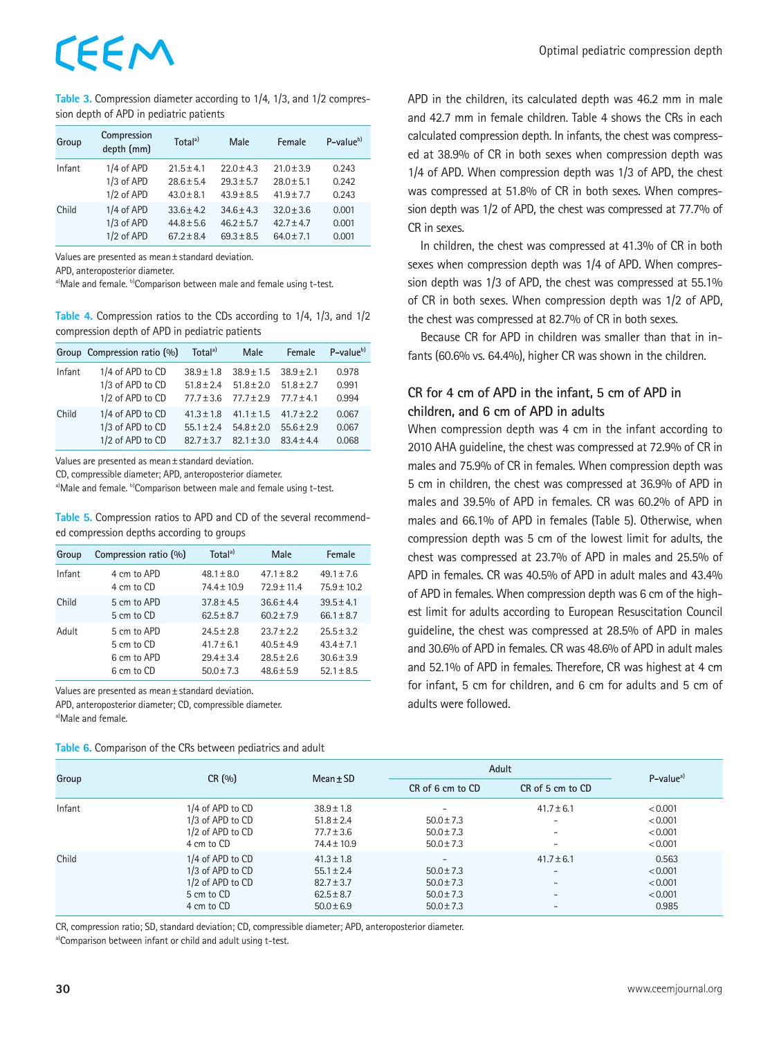# EEM

**Table 3.** Compression diameter according to 1/4, 1/3, and 1/2 compression depth of APD in pediatric patients

| Group  | Compression<br>depth (mm) | Total <sup>a</sup> | Male           | Female         | $P-valueb$ |
|--------|---------------------------|--------------------|----------------|----------------|------------|
| Infant | 1/4 of APD                | $21.5 \pm 4.1$     | $22.0 \pm 4.3$ | $21.0 \pm 3.9$ | 0.243      |
|        | 1/3 of APD                | $28.6 + 5.4$       | $29.3 + 5.7$   | $28.0 + 5.1$   | 0.242      |
|        | 1/2 of APD                | $43.0 \pm 8.1$     | $43.9 \pm 8.5$ | $41.9 \pm 7.7$ | 0.243      |
| Child  | 1/4 of APD                | $33.6 \pm 4.2$     | $34.6 \pm 4.3$ | $32.0 \pm 3.6$ | 0.001      |
|        | 1/3 of APD                | $44.8 \pm 5.6$     | $46.2 \pm 5.7$ | $42.7 + 4.7$   | 0.001      |
|        | 1/2 of APD                | $67.2 + 8.4$       | $69.3 + 8.5$   | $64.0 + 7.1$   | 0.001      |

Values are presented as mean±standard deviation.

APD, anteroposterior diameter.

a)Male and female. b)Comparison between male and female using t-test.

**Table 4.** Compression ratios to the CDs according to 1/4, 1/3, and 1/2 compression depth of APD in pediatric patients

|        | Group Compression ratio (%) | Total <sup>a)</sup> | Male           | Female         | $P-valueb$ |
|--------|-----------------------------|---------------------|----------------|----------------|------------|
| Infant | 1/4 of APD to CD            | $38.9 + 1.8$        | $38.9 + 1.5$   | $38.9 + 2.1$   | 0.978      |
|        | 1/3 of APD to CD            | $51.8 \pm 2.4$      | $51.8 \pm 2.0$ | $51.8 \pm 2.7$ | 0.991      |
|        | 1/2 of APD to CD            | $77.7 + 3.6$        | $77.7 \pm 2.9$ | $77.7 + 4.1$   | 0.994      |
| Child  | 1/4 of APD to CD            | $41.3 \pm 1.8$      | $41.1 \pm 1.5$ | $41.7 + 2.2$   | 0.067      |
|        | 1/3 of APD to CD            | $55.1 + 2.4$        | $54.8 + 2.0$   | $55.6 + 2.9$   | 0.067      |
|        | 1/2 of APD to CD            | $82.7 + 3.7$        | $82.1 \pm 3.0$ | $834+44$       | 0.068      |

Values are presented as mean±standard deviation.

CD, compressible diameter; APD, anteroposterior diameter.

a)Male and female. b)Comparison between male and female using t-test.

**Table 5.** Compression ratios to APD and CD of the several recommended compression depths according to groups

| Group  | Compression ratio (%) | Total <sup>a)</sup> | Male           | Female         |
|--------|-----------------------|---------------------|----------------|----------------|
| Infant | 4 cm to APD           | $48.1 \pm 8.0$      | $47.1 \pm 8.2$ | $49.1 \pm 7.6$ |
|        | 4 cm to CD            | $74.4 \pm 10.9$     | $72.9 + 11.4$  | $75.9 + 10.2$  |
| Child  | 5 cm to APD           | $37.8 \pm 4.5$      | $366+44$       | $39.5 \pm 4.1$ |
|        | 5 cm to CD            | $62.5 \pm 8.7$      | $602 + 79$     | $66.1 \pm 8.7$ |
| Adult  | 5 cm to APD           | $24.5 \pm 2.8$      | $23.7 \pm 2.2$ | $25.5 \pm 3.2$ |
|        | 5 cm to CD            | $41.7 + 6.1$        | $40.5 + 4.9$   | $43.4 \pm 7.1$ |
|        | 6 cm to APD           | $29.4 \pm 3.4$      | $28.5 \pm 2.6$ | $30.6 \pm 3.9$ |
|        | 6 cm to CD            | $50.0 \pm 7.3$      | $48.6 \pm 5.9$ | $52.1 \pm 8.5$ |

Values are presented as mean±standard deviation.

APD, anteroposterior diameter; CD, compressible diameter. a)Male and female.

**Table 6.** Comparison of the CRs between pediatrics and adult

APD in the children, its calculated depth was 46.2 mm in male and 42.7 mm in female children. Table 4 shows the CRs in each calculated compression depth. In infants, the chest was compressed at 38.9% of CR in both sexes when compression depth was 1/4 of APD. When compression depth was 1/3 of APD, the chest was compressed at 51.8% of CR in both sexes. When compression depth was 1/2 of APD, the chest was compressed at 77.7% of CR in sexes.

In children, the chest was compressed at 41.3% of CR in both sexes when compression depth was 1/4 of APD. When compression depth was 1/3 of APD, the chest was compressed at 55.1% of CR in both sexes. When compression depth was 1/2 of APD, the chest was compressed at 82.7% of CR in both sexes.

Because CR for APD in children was smaller than that in infants (60.6% vs. 64.4%), higher CR was shown in the children.

## **CR for 4 cm of APD in the infant, 5 cm of APD in children, and 6 cm of APD in adults**

When compression depth was 4 cm in the infant according to 2010 AHA guideline, the chest was compressed at 72.9% of CR in males and 75.9% of CR in females. When compression depth was 5 cm in children, the chest was compressed at 36.9% of APD in males and 39.5% of APD in females. CR was 60.2% of APD in males and 66.1% of APD in females (Table 5). Otherwise, when compression depth was 5 cm of the lowest limit for adults, the chest was compressed at 23.7% of APD in males and 25.5% of APD in females. CR was 40.5% of APD in adult males and 43.4% of APD in females. When compression depth was 6 cm of the highest limit for adults according to European Resuscitation Council guideline, the chest was compressed at 28.5% of APD in males and 30.6% of APD in females. CR was 48.6% of APD in adult males and 52.1% of APD in females. Therefore, CR was highest at 4 cm for infant, 5 cm for children, and 6 cm for adults and 5 cm of adults were followed.

| Group  | CR(%)              | $Mean \pm SD$   | Adult                    |                          | $P-valuea$ |
|--------|--------------------|-----------------|--------------------------|--------------------------|------------|
|        |                    |                 | CR of 6 cm to CD         | CR of 5 cm to CD         |            |
| Infant | 1/4 of APD to CD   | $38.9 \pm 1.8$  | -                        | $41.7 \pm 6.1$           | < 0.001    |
|        | 1/3 of APD to CD   | $51.8 \pm 2.4$  | $50.0 \pm 7.3$           | $\overline{\phantom{0}}$ | < 0.001    |
|        | 1/2 of APD to CD   | $77.7 \pm 3.6$  | $50.0 \pm 7.3$           | $\overline{\phantom{0}}$ | < 0.001    |
|        | 4 cm to CD         | $74.4 \pm 10.9$ | $50.0 \pm 7.3$           | $\overline{\phantom{0}}$ | < 0.001    |
| Child  | 1/4 of APD to CD   | $41.3 \pm 1.8$  | $\overline{\phantom{0}}$ | $41.7 \pm 6.1$           | 0.563      |
|        | 1/3 of APD to CD   | $55.1 \pm 2.4$  | $50.0 \pm 7.3$           | $\overline{\phantom{0}}$ | < 0.001    |
|        | $1/2$ of APD to CD | $82.7 \pm 3.7$  | $50.0 \pm 7.3$           | $\overline{\phantom{m}}$ | < 0.001    |
|        | 5 cm to CD         | $62.5 \pm 8.7$  | $50.0 \pm 7.3$           | $\overline{\phantom{0}}$ | < 0.001    |
|        | 4 cm to CD         | $50.0 \pm 6.9$  | $50.0 \pm 7.3$           | $\overline{\phantom{0}}$ | 0.985      |

CR, compression ratio; SD, standard deviation; CD, compressible diameter; APD, anteroposterior diameter.

a)Comparison between infant or child and adult using t-test.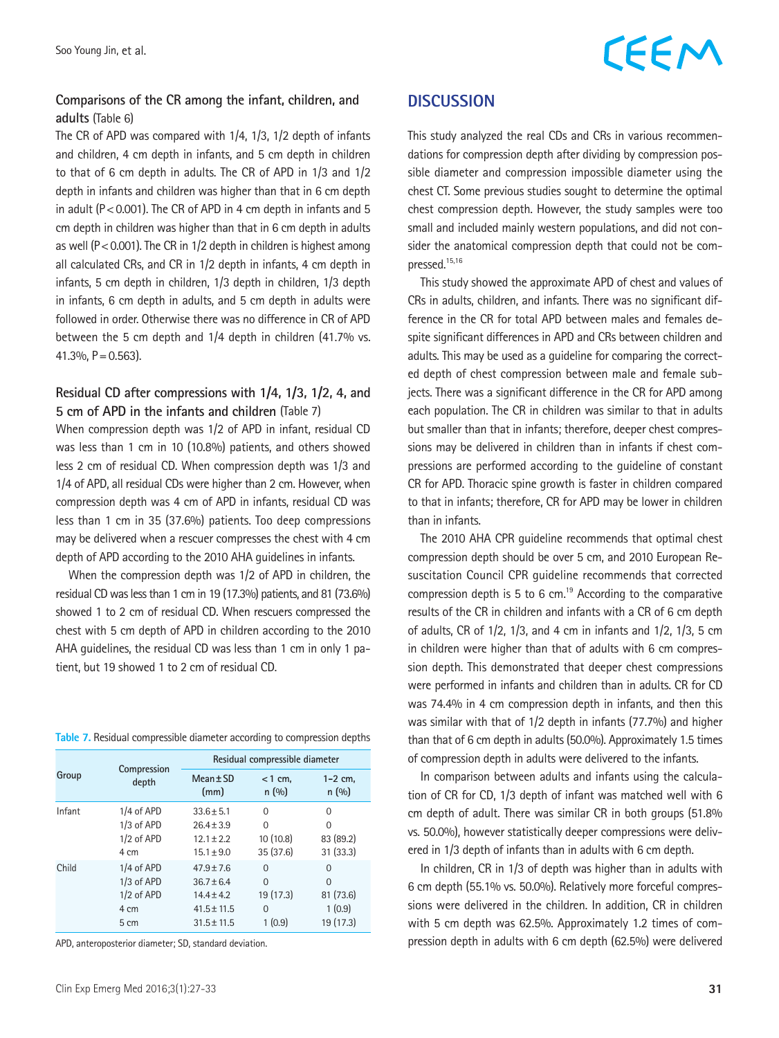# CEEM

## **Comparisons of the CR among the infant, children, and adults** (Table 6)

The CR of APD was compared with 1/4, 1/3, 1/2 depth of infants and children, 4 cm depth in infants, and 5 cm depth in children to that of 6 cm depth in adults. The CR of APD in 1/3 and 1/2 depth in infants and children was higher than that in 6 cm depth in adult ( $P < 0.001$ ). The CR of APD in 4 cm depth in infants and 5 cm depth in children was higher than that in 6 cm depth in adults as well ( $P < 0.001$ ). The CR in  $1/2$  depth in children is highest among all calculated CRs, and CR in 1/2 depth in infants, 4 cm depth in infants, 5 cm depth in children, 1/3 depth in children, 1/3 depth in infants, 6 cm depth in adults, and 5 cm depth in adults were followed in order. Otherwise there was no difference in CR of APD between the 5 cm depth and 1/4 depth in children (41.7% vs. 41.3%,  $P = 0.563$ ).

### **Residual CD after compressions with 1/4, 1/3, 1/2, 4, and 5 cm of APD in the infants and children** (Table 7)

When compression depth was 1/2 of APD in infant, residual CD was less than 1 cm in 10 (10.8%) patients, and others showed less 2 cm of residual CD. When compression depth was 1/3 and 1/4 of APD, all residual CDs were higher than 2 cm. However, when compression depth was 4 cm of APD in infants, residual CD was less than 1 cm in 35 (37.6%) patients. Too deep compressions may be delivered when a rescuer compresses the chest with 4 cm depth of APD according to the 2010 AHA guidelines in infants.

When the compression depth was 1/2 of APD in children, the residual CD was less than 1 cm in 19 (17.3%) patients, and 81 (73.6%) showed 1 to 2 cm of residual CD. When rescuers compressed the chest with 5 cm depth of APD in children according to the 2010 AHA guidelines, the residual CD was less than 1 cm in only 1 patient, but 19 showed 1 to 2 cm of residual CD.

|  | Table 7. Residual compressible diameter according to compression depths |  |  |  |
|--|-------------------------------------------------------------------------|--|--|--|
|  |                                                                         |  |  |  |

| Group  |                      | Residual compressible diameter |                    |                     |  |  |
|--------|----------------------|--------------------------------|--------------------|---------------------|--|--|
|        | Compression<br>depth | $Mean \pm SD$<br>(mm)          | $<$ 1 cm.<br>n(90) | $1 - 2$ cm.<br>n(%) |  |  |
| Infant | 1/4 of APD           | $33.6 + 5.1$                   | $\Omega$           | $\Omega$            |  |  |
|        | $1/3$ of APD         | $26.4 + 3.9$                   | $\Omega$           | $\Omega$            |  |  |
|        | $1/2$ of APD         | $12.1 \pm 2.2$                 | 10 (10.8)          | 83 (89.2)           |  |  |
|        | 4 cm                 | $15.1 \pm 9.0$                 | 35(37.6)           | 31(33.3)            |  |  |
| Child  | 1/4 of APD           | $47.9 \pm 7.6$                 | $\Omega$           | $\Omega$            |  |  |
|        | $1/3$ of APD         | $36.7 + 6.4$                   | $\Omega$           | $\Omega$            |  |  |
|        | 1/2 of APD           | $14.4 \pm 4.2$                 | 19 (17.3)          | 81 (73.6)           |  |  |
|        | 4 cm                 | $41.5 \pm 11.5$                | $\Omega$           | 1(0.9)              |  |  |
|        | 5 cm                 | $31.5 \pm 11.5$                | 1(0.9)             | 19 (17.3)           |  |  |

APD, anteroposterior diameter; SD, standard deviation.

### **DISCUSSION**

This study analyzed the real CDs and CRs in various recommendations for compression depth after dividing by compression possible diameter and compression impossible diameter using the chest CT. Some previous studies sought to determine the optimal chest compression depth. However, the study samples were too small and included mainly western populations, and did not consider the anatomical compression depth that could not be compressed.15,16

This study showed the approximate APD of chest and values of CRs in adults, children, and infants. There was no significant difference in the CR for total APD between males and females despite significant differences in APD and CRs between children and adults. This may be used as a guideline for comparing the corrected depth of chest compression between male and female subjects. There was a significant difference in the CR for APD among each population. The CR in children was similar to that in adults but smaller than that in infants; therefore, deeper chest compressions may be delivered in children than in infants if chest compressions are performed according to the guideline of constant CR for APD. Thoracic spine growth is faster in children compared to that in infants; therefore, CR for APD may be lower in children than in infants.

The 2010 AHA CPR guideline recommends that optimal chest compression depth should be over 5 cm, and 2010 European Resuscitation Council CPR guideline recommends that corrected compression depth is 5 to 6 cm.<sup>19</sup> According to the comparative results of the CR in children and infants with a CR of 6 cm depth of adults, CR of 1/2, 1/3, and 4 cm in infants and 1/2, 1/3, 5 cm in children were higher than that of adults with 6 cm compression depth. This demonstrated that deeper chest compressions were performed in infants and children than in adults. CR for CD was 74.4% in 4 cm compression depth in infants, and then this was similar with that of 1/2 depth in infants (77.7%) and higher than that of 6 cm depth in adults (50.0%). Approximately 1.5 times of compression depth in adults were delivered to the infants.

In comparison between adults and infants using the calculation of CR for CD, 1/3 depth of infant was matched well with 6 cm depth of adult. There was similar CR in both groups (51.8% vs. 50.0%), however statistically deeper compressions were delivered in 1/3 depth of infants than in adults with 6 cm depth.

In children, CR in 1/3 of depth was higher than in adults with 6 cm depth (55.1% vs. 50.0%). Relatively more forceful compressions were delivered in the children. In addition, CR in children with 5 cm depth was 62.5%. Approximately 1.2 times of compression depth in adults with 6 cm depth (62.5%) were delivered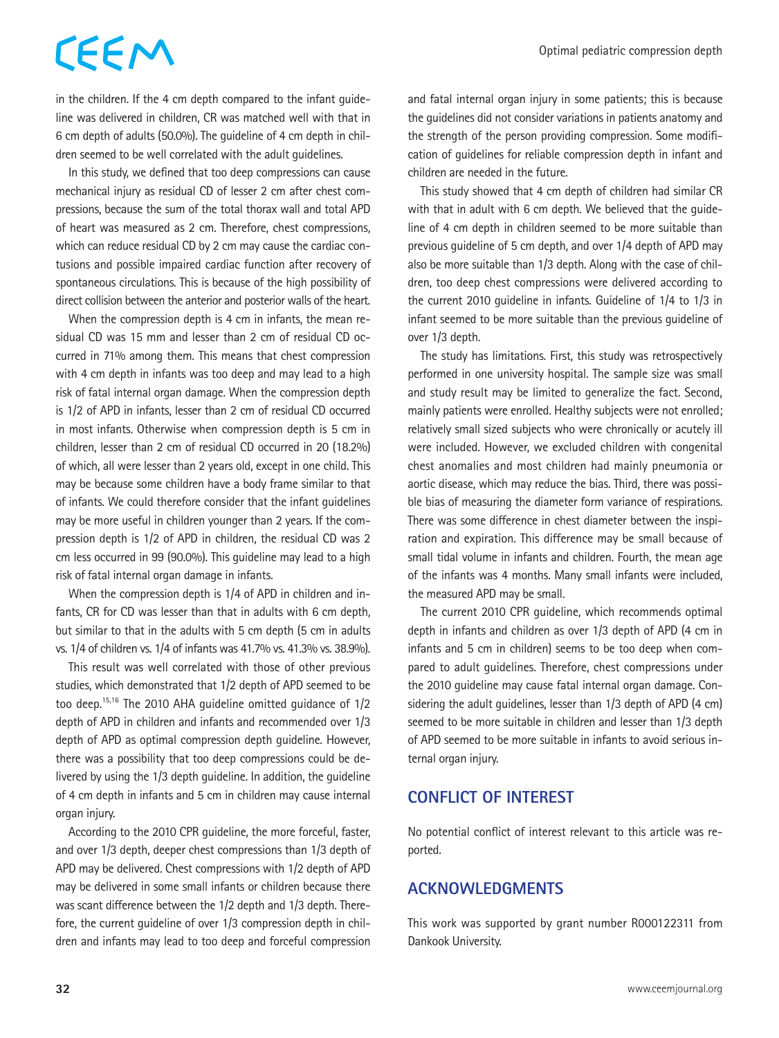# CEEM

in the children. If the 4 cm depth compared to the infant guideline was delivered in children, CR was matched well with that in 6 cm depth of adults (50.0%). The guideline of 4 cm depth in children seemed to be well correlated with the adult guidelines.

In this study, we defined that too deep compressions can cause mechanical injury as residual CD of lesser 2 cm after chest compressions, because the sum of the total thorax wall and total APD of heart was measured as 2 cm. Therefore, chest compressions, which can reduce residual CD by 2 cm may cause the cardiac contusions and possible impaired cardiac function after recovery of spontaneous circulations. This is because of the high possibility of direct collision between the anterior and posterior walls of the heart.

When the compression depth is 4 cm in infants, the mean residual CD was 15 mm and lesser than 2 cm of residual CD occurred in 71% among them. This means that chest compression with 4 cm depth in infants was too deep and may lead to a high risk of fatal internal organ damage. When the compression depth is 1/2 of APD in infants, lesser than 2 cm of residual CD occurred in most infants. Otherwise when compression depth is 5 cm in children, lesser than 2 cm of residual CD occurred in 20 (18.2%) of which, all were lesser than 2 years old, except in one child. This may be because some children have a body frame similar to that of infants. We could therefore consider that the infant guidelines may be more useful in children younger than 2 years. If the compression depth is 1/2 of APD in children, the residual CD was 2 cm less occurred in 99 (90.0%). This guideline may lead to a high risk of fatal internal organ damage in infants.

When the compression depth is 1/4 of APD in children and infants, CR for CD was lesser than that in adults with 6 cm depth, but similar to that in the adults with 5 cm depth (5 cm in adults vs. 1/4 of children vs. 1/4 of infants was 41.7% vs. 41.3% vs. 38.9%).

This result was well correlated with those of other previous studies, which demonstrated that 1/2 depth of APD seemed to be too deep.15,16 The 2010 AHA guideline omitted guidance of 1/2 depth of APD in children and infants and recommended over 1/3 depth of APD as optimal compression depth guideline. However, there was a possibility that too deep compressions could be delivered by using the 1/3 depth guideline. In addition, the guideline of 4 cm depth in infants and 5 cm in children may cause internal organ injury.

According to the 2010 CPR guideline, the more forceful, faster, and over 1/3 depth, deeper chest compressions than 1/3 depth of APD may be delivered. Chest compressions with 1/2 depth of APD may be delivered in some small infants or children because there was scant difference between the 1/2 depth and 1/3 depth. Therefore, the current guideline of over 1/3 compression depth in children and infants may lead to too deep and forceful compression

and fatal internal organ injury in some patients; this is because the guidelines did not consider variations in patients anatomy and the strength of the person providing compression. Some modification of guidelines for reliable compression depth in infant and children are needed in the future.

This study showed that 4 cm depth of children had similar CR with that in adult with 6 cm depth. We believed that the guideline of 4 cm depth in children seemed to be more suitable than previous guideline of 5 cm depth, and over 1/4 depth of APD may also be more suitable than 1/3 depth. Along with the case of children, too deep chest compressions were delivered according to the current 2010 guideline in infants. Guideline of 1/4 to 1/3 in infant seemed to be more suitable than the previous guideline of over 1/3 depth.

The study has limitations. First, this study was retrospectively performed in one university hospital. The sample size was small and study result may be limited to generalize the fact. Second, mainly patients were enrolled. Healthy subjects were not enrolled; relatively small sized subjects who were chronically or acutely ill were included. However, we excluded children with congenital chest anomalies and most children had mainly pneumonia or aortic disease, which may reduce the bias. Third, there was possible bias of measuring the diameter form variance of respirations. There was some difference in chest diameter between the inspiration and expiration. This difference may be small because of small tidal volume in infants and children. Fourth, the mean age of the infants was 4 months. Many small infants were included, the measured APD may be small.

The current 2010 CPR guideline, which recommends optimal depth in infants and children as over 1/3 depth of APD (4 cm in infants and 5 cm in children) seems to be too deep when compared to adult guidelines. Therefore, chest compressions under the 2010 guideline may cause fatal internal organ damage. Considering the adult guidelines, lesser than 1/3 depth of APD (4 cm) seemed to be more suitable in children and lesser than 1/3 depth of APD seemed to be more suitable in infants to avoid serious internal organ injury.

# **CONFLICT OF INTEREST**

No potential conflict of interest relevant to this article was reported.

# **ACKNOWLEDGMENTS**

This work was supported by grant number R000122311 from Dankook University.